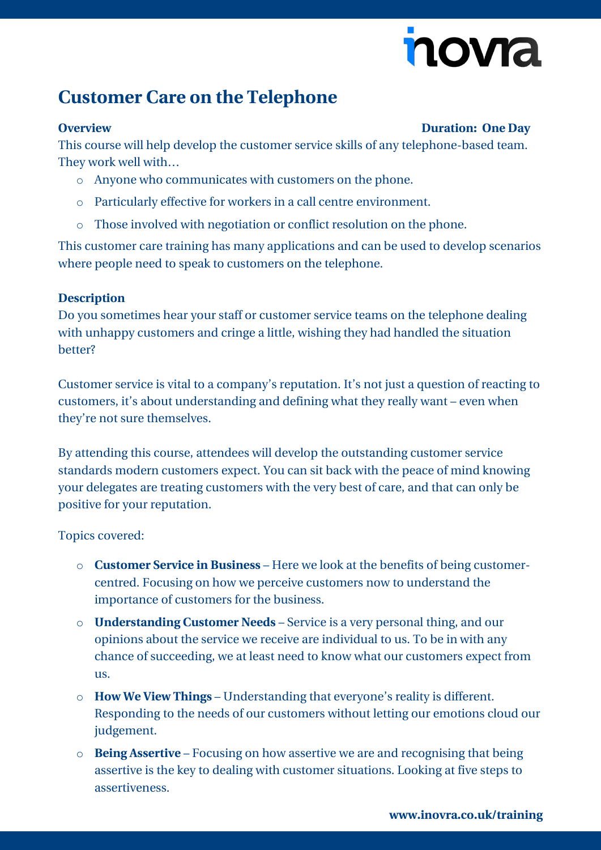# novia

### **Customer Care on the Telephone**

#### **Overview Duration: One Day**

This course will help develop the customer service skills of any telephone-based team. They work well with…

- o Anyone who communicates with customers on the phone.
- o Particularly effective for workers in a call centre environment.
- o Those involved with negotiation or conflict resolution on the phone.

This customer care training has many applications and can be used to develop scenarios where people need to speak to customers on the telephone.

### **Description**

Do you sometimes hear your staff or customer service teams on the telephone dealing with unhappy customers and cringe a little, wishing they had handled the situation better?

Customer service is vital to a company's reputation. It's not just a question of reacting to customers, it's about understanding and defining what they really want – even when they're not sure themselves.

By attending this course, attendees will develop the outstanding customer service standards modern customers expect. You can sit back with the peace of mind knowing your delegates are treating customers with the very best of care, and that can only be positive for your reputation.

Topics covered:

- o **Customer Service in Business** Here we look at the benefits of being customercentred. Focusing on how we perceive customers now to understand the importance of customers for the business.
- o **Understanding Customer Needs** Service is a very personal thing, and our opinions about the service we receive are individual to us. To be in with any chance of succeeding, we at least need to know what our customers expect from us.
- o **How We View Things** Understanding that everyone's reality is different. Responding to the needs of our customers without letting our emotions cloud our judgement.
- o **Being Assertive** Focusing on how assertive we are and recognising that being assertive is the key to dealing with customer situations. Looking at five steps to assertiveness.